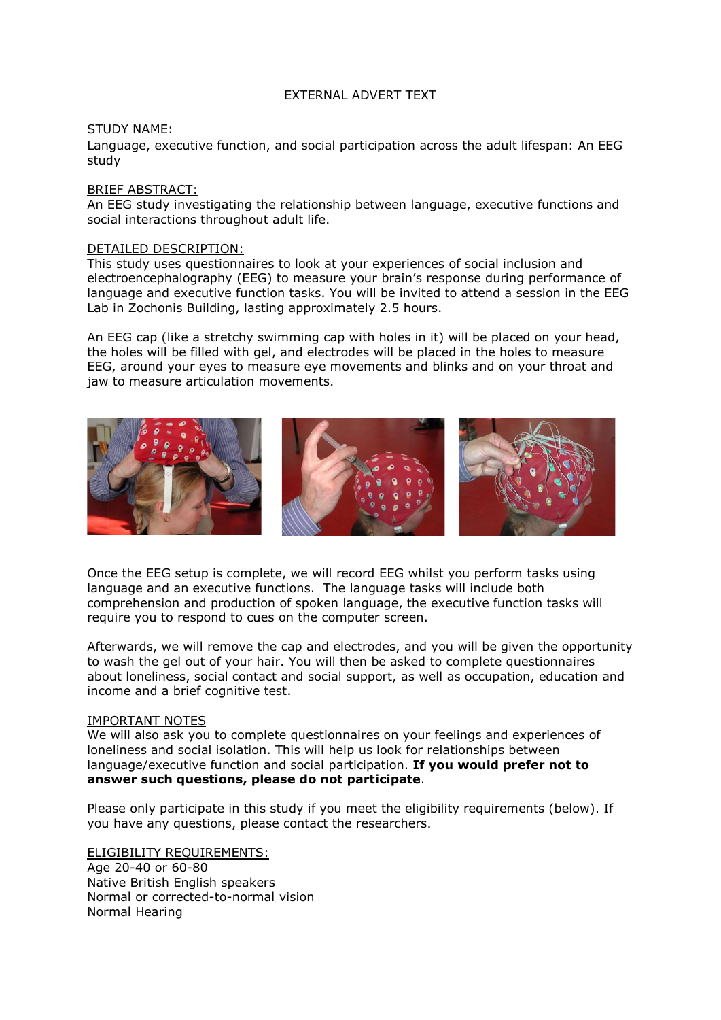# EXTERNAL ADVERT TEXT

### STUDY NAME:

Language, executive function, and social participation across the adult lifespan: An EEG study

#### BRIEF ABSTRACT:

An EEG study investigating the relationship between language, executive functions and social interactions throughout adult life.

## DETAILED DESCRIPTION:

This study uses questionnaires to look at your experiences of social inclusion and electroencephalography (EEG) to measure your brain's response during performance of language and executive function tasks. You will be invited to attend a session in the EEG Lab in Zochonis Building, lasting approximately 2.5 hours.

An EEG cap (like a stretchy swimming cap with holes in it) will be placed on your head, the holes will be filled with gel, and electrodes will be placed in the holes to measure EEG, around your eyes to measure eye movements and blinks and on your throat and jaw to measure articulation movements.



Once the EEG setup is complete, we will record EEG whilst you perform tasks using language and an executive functions. The language tasks will include both comprehension and production of spoken language, the executive function tasks will require you to respond to cues on the computer screen.

Afterwards, we will remove the cap and electrodes, and you will be given the opportunity to wash the gel out of your hair. You will then be asked to complete questionnaires about loneliness, social contact and social support, as well as occupation, education and income and a brief cognitive test.

#### IMPORTANT NOTES

We will also ask you to complete questionnaires on your feelings and experiences of loneliness and social isolation. This will help us look for relationships between language/executive function and social participation. If you would prefer not to answer such questions, please do not participate.

Please only participate in this study if you meet the eligibility requirements (below). If you have any questions, please contact the researchers.

ELIGIBILITY REQUIREMENTS: Age 20-40 or 60-80 Native British English speakers Normal or corrected-to-normal vision Normal Hearing